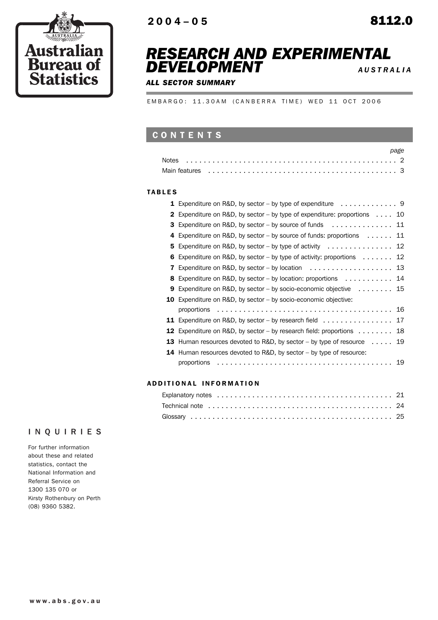

## *RESEARCH AND EXPERIMENTAL DEVELOPMENT <sup>A</sup> USTRALIA*

### *ALL SECTOR SUMMARY*

EMBARGO: 11.30AM (CANBERRA TIME) WED 11 OCT 2006

## CONTENTS

| Main features enterpreteration of the contract of the contract of the contract of the contract of the faith of |  |
|----------------------------------------------------------------------------------------------------------------|--|

#### TABLES

ŕ

|   | <b>1</b> Expenditure on R&D, by sector – by type of expenditure $\dots \dots \dots \dots$  |  |
|---|--------------------------------------------------------------------------------------------|--|
|   | <b>2</b> Expenditure on R&D, by sector – by type of expenditure: proportions $\dots$ 10    |  |
|   | <b>3</b> Expenditure on R&D, by sector – by source of funds $\dots \dots \dots \dots$      |  |
|   | 4 Expenditure on R&D, by sector - by source of funds: proportions 11                       |  |
|   | 5 Expenditure on R&D, by sector – by type of activity $\ldots \ldots \ldots \ldots$        |  |
|   | <b>6</b> Expenditure on R&D, by sector – by type of activity: proportions $\dots \dots$ 12 |  |
| 7 | Expenditure on R&D, by sector – by location $\ldots \ldots \ldots \ldots \ldots$ .         |  |
|   | 8 Expenditure on R&D, by sector – by location: proportions 14                              |  |
| 9 | Expenditure on R&D, by sector – by socio-economic objective $\dots \dots \dots$ 15         |  |
|   | <b>10</b> Expenditure on R&D, by sector – by socio-economic objective:                     |  |
|   |                                                                                            |  |
|   | 11 Expenditure on R&D, by sector - by research field 17                                    |  |
|   | <b>12</b> Expenditure on R&D, by sector – by research field: proportions $\dots \dots$     |  |
|   | <b>13</b> Human resources devoted to R&D, by sector – by type of resource $\dots$ 19       |  |
|   | 14 Human resources devoted to R&D, by sector – by type of resource:                        |  |
|   |                                                                                            |  |
|   |                                                                                            |  |

## ADD ITIONAL INFORMATION

## INQUIRIES

For further information about these and related statistics, contact the National Information and Referral Service on 1300 135 070 or Kirsty Rothenbury on Perth (08) 9360 5382.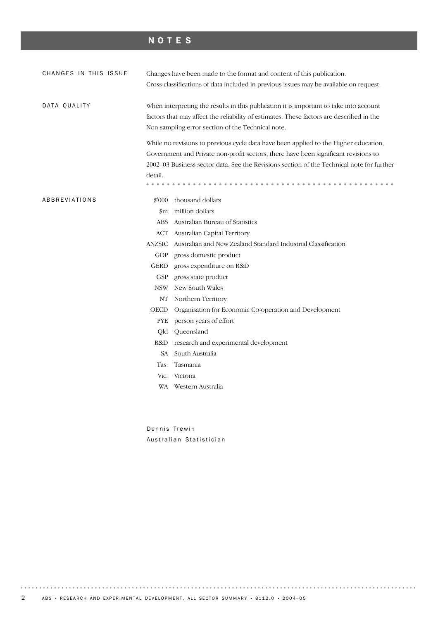## NOTES

| CHANGES IN THIS ISSUE | Changes have been made to the format and content of this publication.<br>Cross-classifications of data included in previous issues may be available on request.                                                                         |                                                                                                                                                                                                                                                                                                                                                                                                                                                     |  |  |  |  |  |
|-----------------------|-----------------------------------------------------------------------------------------------------------------------------------------------------------------------------------------------------------------------------------------|-----------------------------------------------------------------------------------------------------------------------------------------------------------------------------------------------------------------------------------------------------------------------------------------------------------------------------------------------------------------------------------------------------------------------------------------------------|--|--|--|--|--|
| DATA QUALITY          | When interpreting the results in this publication it is important to take into account<br>factors that may affect the reliability of estimates. These factors are described in the<br>Non-sampling error section of the Technical note. |                                                                                                                                                                                                                                                                                                                                                                                                                                                     |  |  |  |  |  |
|                       | detail.                                                                                                                                                                                                                                 | While no revisions to previous cycle data have been applied to the Higher education,<br>Government and Private non-profit sectors, there have been significant revisions to<br>2002–03 Business sector data. See the Revisions section of the Technical note for further<br>thousand dollars                                                                                                                                                        |  |  |  |  |  |
| ABBREVIATIONS         | \$'000<br>$_{\rm sm}$<br><b>ABS</b><br><b>ACT</b><br><b>ANZSIC</b><br>GDP<br><b>GERD</b><br><b>GSP</b><br><b>NSW</b><br>NT<br><b>OECD</b><br><b>PYE</b><br>Qld<br>R&D<br>SA.<br>Tas.                                                    | million dollars<br>Australian Bureau of Statistics<br>Australian Capital Territory<br>Australian and New Zealand Standard Industrial Classification<br>gross domestic product<br>gross expenditure on R&D<br>gross state product<br>New South Wales<br>Northern Territory<br>Organisation for Economic Co-operation and Development<br>person years of effort<br>Queensland<br>research and experimental development<br>South Australia<br>Tasmania |  |  |  |  |  |
|                       | Vic.                                                                                                                                                                                                                                    | Victoria<br>WA Western Australia                                                                                                                                                                                                                                                                                                                                                                                                                    |  |  |  |  |  |

Dennis Trewin Australian Statistician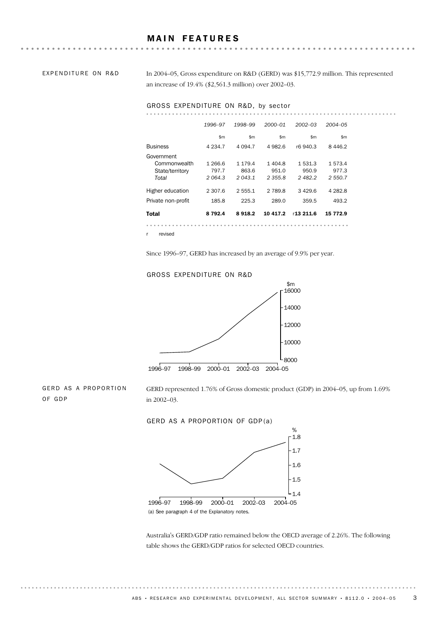EXPENDITURE ON R&D

In 2004–05, Gross expenditure on R&D (GERD) was \$15,772.9 million. This represented an increase of 19.4% (\$2,561.3 million) over 2002–03.

**AAAAAAAAA** 

#### GROSS EXPENDITURE ON R&D, by sector

|                    | 1996-97     | 1998-99  | $2000 - 01$ | $2002 - 03$ | $2004 - 05$ |
|--------------------|-------------|----------|-------------|-------------|-------------|
|                    | \$m\$       | \$m\$    | \$m\$       | \$m\$       | \$m         |
| <b>Business</b>    | 4 2 3 4 . 7 | 4 0 94.7 | 4 982.6     | r6 940.3    | 8446.2      |
| Government         |             |          |             |             |             |
| Commonwealth       | 1 266.6     | 1 179.4  | 1404.8      | 1531.3      | 1573.4      |
| State/territory    | 797.7       | 863.6    | 951.0       | 950.9       | 977.3       |
| Total              | 2064.3      | 2043.1   | 2355.8      | 2482.2      | 2 550.7     |
| Higher education   | 2 307.6     | 2 555.1  | 2 789.8     | 3429.6      | 4 282.8     |
| Private non-profit | 185.8       | 225.3    | 289.0       | 359.5       | 493.2       |
| <b>Total</b>       | 8792.4      | 8918.2   | 10 417.2    | r13 211.6   | 15 772.9    |
|                    |             |          |             |             |             |

r revised

Since 1996–97, GERD has increased by an average of 9.9% per year.

#### GROSS EXPENDITURE ON R&D



GERD AS A PROPORTION OF GDP

GERD represented 1.76% of Gross domestic product (GDP) in 2004–05, up from 1.69% in 2002–03.

GERD AS A PROPORTION OF GDP(a)



Australia's GERD/GDP ratio remained below the OECD average of 2.26%. The following table shows the GERD/GDP ratios for selected OECD countries.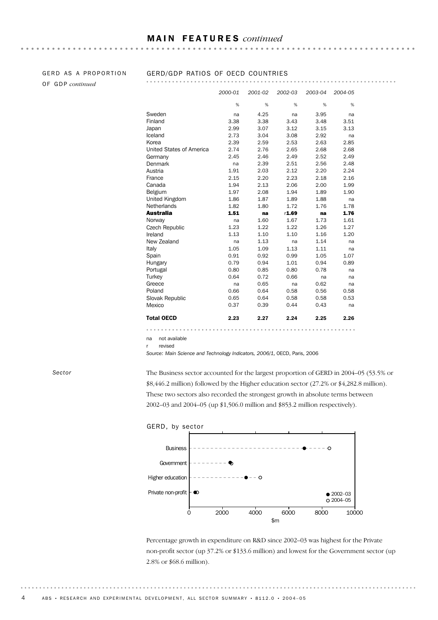**\*\*\*\*\*\*\*\*\*\*\*** 

# OF GDP *continued*

## GERD AS A PROPORTION GERD/GDP RATIOS OF OECD COUNTRIES

| <b>Total OECD</b>               | 2.23         | 2.27         | 2.24         | 2.25         | 2.26       |
|---------------------------------|--------------|--------------|--------------|--------------|------------|
| Slovak Republic<br>Mexico       | 0.65<br>0.37 | 0.64<br>0.39 | 0.58<br>0.44 | 0.58<br>0.43 | 0.53<br>na |
| Poland                          | 0.66         | 0.64         | 0.58         | 0.56         | 0.58       |
| Greece                          | na           | 0.65         | na           | 0.62         | na         |
| Turkey                          | 0.64         | 0.72         | 0.66         | na           | na         |
| Portugal                        | 0.80         | 0.85         | 0.80         | 0.78         | na         |
| Hungary                         | 0.79         | 0.94         | 1.01         | 0.94         | 0.89       |
| Spain                           | 0.91         | 0.92         | 0.99         | 1.05         | 1.07       |
| Italy                           | 1.05         | 1.09         | 1.13         | 1.11         | na         |
| New Zealand                     | na           | 1.13         | na           | 1.14         | na         |
| Ireland                         | 1.13         | 1.10         | 1.10         | 1.16         | 1.20       |
| Czech Republic                  | 1.23         | 1.22         | 1.22         | 1.26         | 1.27       |
| Norway                          | na           | 1.60         | 1.67         | 1.73         | 1.61       |
| <b>Australia</b>                | 1.51         | na           | r1.69        | na           | 1.76       |
| <b>Netherlands</b>              | 1.82         | 1.80         | 1.72         | 1.76         | 1.78       |
| <b>United Kingdom</b>           | 1.86         | 1.87         | 1.89         | 1.88         | na         |
| Belgium                         | 1.97         | 2.08         | 1.94         | 1.89         | 1.90       |
| Canada                          | 1.94         | 2.13         | 2.06         | 2.00         | 1.99       |
| France                          | 2.15         | 2.20         | 2.23         | 2.18         | 2.16       |
| Austria                         | 1.91         | 2.03         | 2.12         | 2.20         | 2.24       |
| Denmark                         | na           | 2.39         | 2.51         | 2.56         | 2.48       |
| Germany                         | 2.45         | 2.46         | 2.49         | 2.52         | 2.49       |
| <b>United States of America</b> | 2.74         | 2.76         | 2.65         | 2.68         | 2.68       |
| Korea                           | 2.39         | 2.59         | 2.53         | 2.63         | 2.85       |
| Iceland                         | 2.73         | 3.04         | 3.08         | 2.92         | na         |
| Japan                           | 2.99         | 3.07         | 3.12         | 3.15         | 3.13       |
| Finland                         | 3.38         | 3.38         | 3.43         | 3.48         | 3.51       |
| Sweden                          | na           | 4.25         | na           | 3.95         | na         |
|                                 | %            | %            | %            | %            | %          |
|                                 | 2000-01      | 2001-02      | 2002-03      | 2003-04      | 2004-05    |

na not available

r revised

*Source: Main Science and Technology Indicators, 2006/1,* OECD, Paris, 2006

The Business sector accounted for the largest proportion of GERD in 2004–05 (53.5% or \$8,446.2 million) followed by the Higher education sector (27.2% or \$4,282.8 million). These two sectors also recorded the strongest growth in absolute terms between 2002–03 and 2004–05 (up \$1,506.0 million and \$853.2 million respectively).



Percentage growth in expenditure on R&D since 2002–03 was highest for the Private non-profit sector (up 37.2% or \$133.6 million) and lowest for the Government sector (up 2.8% or \$68.6 million).

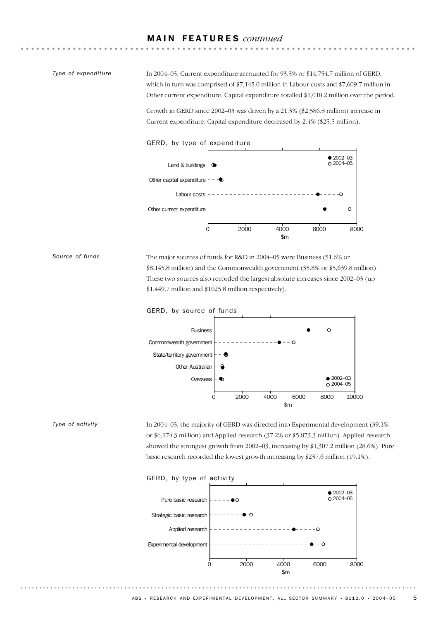#### *Type of expenditure*

In 2004–05, Current expenditure accounted for 93.5% or \$14,754.7 million of GERD, which in turn was comprised of \$7,145.0 million in Labour costs and \$7,609.7 million in Other current expenditure. Capital expenditure totalled \$1,018.2 million over the period.

Growth in GERD since 2002–03 was driven by a 21.3% (\$2,586.8 million) increase in Current expenditure. Capital expenditure decreased by 2.4% (\$25.5 million).



The major sources of funds for R&D in 2004–05 were Business (51.6% or \$8,145.8 million) and the Commonwealth government (35.8% or \$5,639.8 million). These two sources also recorded the largest absolute increases since 2002–03 (up \$1,449.7 million and \$1025.8 million respectively). *Source of funds*



In 2004–05, the majority of GERD was directed into Experimental development (39.1% or \$6,174.3 million) and Applied research (37.2% or \$5,873.3 million). Applied research showed the strongest growth from 2002–03, increasing by \$1,307.2 million (28.6%). Pure basic research recorded the lowest growth increasing by \$237.6 million (19.1%). *Type of activity*

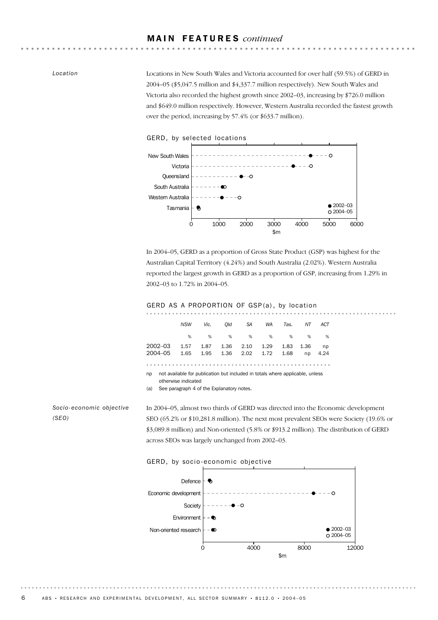*Location*

Locations in New South Wales and Victoria accounted for over half (59.5%) of GERD in 2004–05 (\$5,047.5 million and \$4,337.7 million respectively). New South Wales and Victoria also recorded the highest growth since 2002–03, increasing by \$726.0 million and \$649.0 million respectively. However, Western Australia recorded the fastest growth over the period, increasing by 57.4% (or \$633.7 million).



In 2004–05, GERD as a proportion of Gross State Product (GSP) was highest for the Australian Capital Territory (4.24%) and South Australia (2.02%). Western Australia reported the largest growth in GERD as a proportion of GSP, increasing from 1.29% in 2002–03 to 1.72% in 2004–05.

. . . . . . . . . . . . . . .



|                                                                                     | <b>NSW</b> | Vic. | Old  | SA   | WA   | Tas. | NΤ   | ACT  |  |  |
|-------------------------------------------------------------------------------------|------------|------|------|------|------|------|------|------|--|--|
|                                                                                     | %          | %    | %    | %    | %    | %    | %    | %    |  |  |
| 2002–03                                                                             | 1.57       | 1.87 | 1.36 | 2.10 | 1.29 | 1.83 | 1.36 | np   |  |  |
| 2004–05                                                                             | 1.65       | 1.95 | 1.36 | 2.02 | 1.72 | 1.68 | np   | 4.24 |  |  |
|                                                                                     |            |      |      |      |      |      |      |      |  |  |
| not available for publication but included in totals where applicable, unless<br>np |            |      |      |      |      |      |      |      |  |  |

otherwise indicated

(a) See paragraph 4 of the Explanatory notes.

*Socio-economic objective (SEO)*

In 2004–05, almost two thirds of GERD was directed into the Economic development SEO (65.2% or \$10,281.8 million). The next most prevalent SEOs were Society (19.6% or \$3,089.8 million) and Non-oriented (5.8% or \$913.2 million). The distribution of GERD across SEOs was largely unchanged from 2002–03.



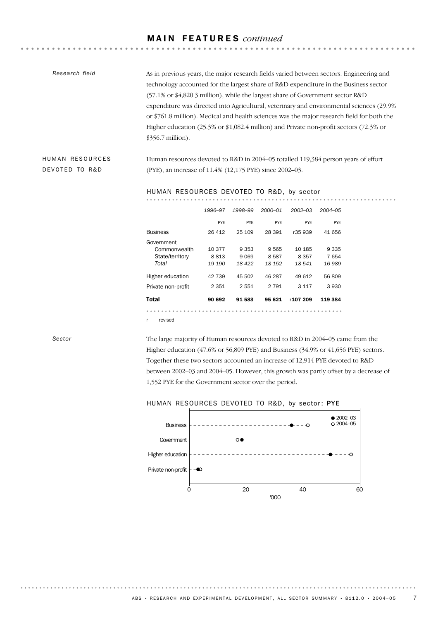| Research field | As in previous years, the major research fields varied between sectors. Engineering and           |
|----------------|---------------------------------------------------------------------------------------------------|
|                | technology accounted for the largest share of R&D expenditure in the Business sector              |
|                | $(57.1\% \text{ or } 4.820.3 \text{ million})$ , while the largest share of Government sector R&D |
|                | expenditure was directed into Agricultural, veterinary and environmental sciences (29.9%)         |
|                | or \$761.8 million). Medical and health sciences was the major research field for both the        |
|                | Higher education (25.3% or \$1,082.4 million) and Private non-profit sectors (72.3% or            |
|                | $$356.7$ million).                                                                                |
|                |                                                                                                   |

Human resources devoted to R&D in 2004–05 totalled 119,384 person years of effort (PYE), an increase of 11.4% (12,175 PYE) since 2002–03.

<u>. . . . . . . . . . . . . . . .</u>

#### HUMAN RESOURCES DEVOTED TO R&D, by sector

| Total                      | 90 692     | 91 583     | 95 621      | r107 209    | 119 384    |
|----------------------------|------------|------------|-------------|-------------|------------|
| Private non-profit         | 2 3 5 1    | 2551       | 2 7 9 1     | 3 1 1 7     | 3930       |
| Higher education           | 42 739     | 45 502     | 46 287      | 49612       | 56809      |
| Total                      | 19 190     | 18 422     | 18 15 2     | 18 541      | 16 989     |
| State/territory            | 8813       | 9069       | 8587        | 8 3 5 7     | 7654       |
| Government<br>Commonwealth | 10 377     | 9 3 5 3    | 9565        | 10 185      | 9 3 3 5    |
| Business                   | 26 412     | 25 109     | 28 391      | r35 939     | 41 656     |
|                            | <b>PYE</b> | <b>PYE</b> | <b>PYE</b>  | <b>PYE</b>  | <b>PYE</b> |
|                            | 1996-97    | 1998-99    | $2000 - 01$ | $2002 - 03$ | 2004-05    |
|                            |            |            |             |             |            |

r revised

#### *Sector*

HUMAN RESOURCES DEVOTED TO R&D

> The large majority of Human resources devoted to R&D in 2004–05 came from the Higher education (47.6% or 56,809 PYE) and Business (34.9% or 41,656 PYE) sectors. Together these two sectors accounted an increase of 12,914 PYE devoted to R&D between 2002–03 and 2004–05. However, this growth was partly offset by a decrease of 1,552 PYE for the Government sector over the period.

### HUMAN RESOURCES DEVOTED TO R&D, by sector: PYE

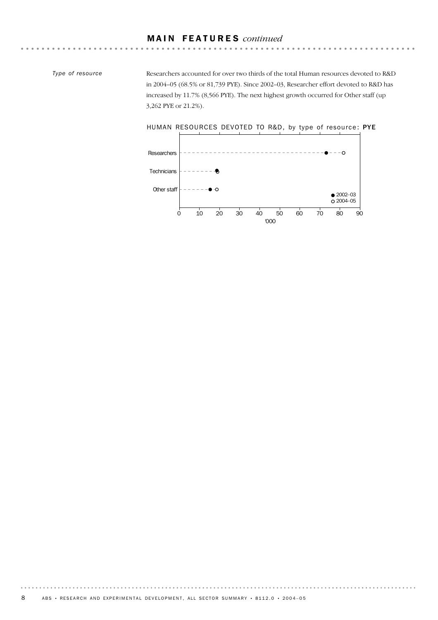. . . . . . . . . . . . . .

*Type of resource*

Researchers accounted for over two thirds of the total Human resources devoted to R&D in 2004–05 (68.5% or 81,739 PYE). Since 2002–03, Researcher effort devoted to R&D has increased by 11.7% (8,566 PYE). The next highest growth occurred for Other staff (up 3,262 PYE or 21.2%).

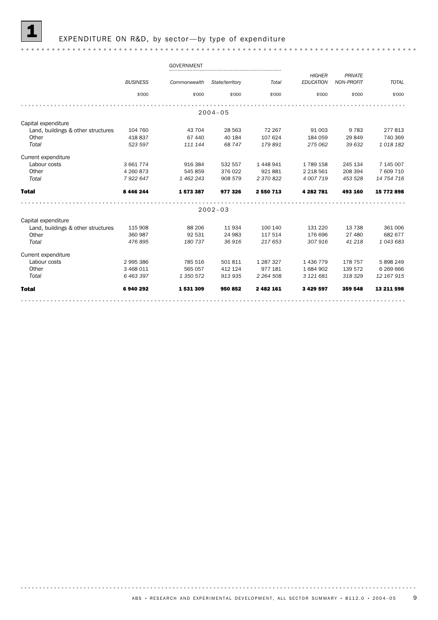#### EXPENDITURE ON R&D, by sector-by type of expenditure

#### GOVERNMENT *HIGHER PRIVATE BUSINESS Commonwealth State/territory Total TOTAL NON-PROFIT EDUCATION* \$'000 \$'000 \$'000 \$'000 \$'000 \$'000 \$'000 2004–05 Capital expenditure Land, buildings & other structures 104 760 43 704 28 563 72 267 91 003 9 783 277 813 Other 418 837 67 440 40 184 107 624 184 059 29 849 740 369 *Total 523 597 111 144 68 747 179 891 275 062 39 632 1 018 182* Current expenditure Labour costs 3 661 774 916 384 532 557 1 448 941 1 789 158 245 134 7 145 007 Other 4 260 873 545 859 376 022 921 881 2 218 561 208 394 7 609 710 *Total 7 922 647 1 462 243 908 579 2 370 822 4 007 719 453 528 14 754 716* Total 8 446 244 1 573 387 977 326 2 550 713 4 282 781 493 160 15 772 898 . . . . . . . . . . . . . . . . . . . 2002–03 Capital expenditure Land, buildings & other structures 115 908 88 206 11 934 100 140 131 220 13 738 361 006 Other 360 987 92 531 24 983 117 514 176 696 27 480 682 677 *Total 476 895 180 737 36 916 217 653 307 916 41 218 1 043 683* Current expenditure Labour costs 2 995 386 785 516 501 811 1 287 327 1 436 779 178 757 5 898 249<br>
1 977 181 1 684 902 139 572 6 269 666<br>
1 70tal 6 463 397 1 350 572 913 935 2 264 508 3 121 681 318 329 12 167 915 Other 3 468 011 565 057 412 124 977 181 1 684 902 139 572 6 269 666 *Total 6 463 397 1 350 572 913 935 2 264 508 3 121 681 318 329 12 167 915* Total 6 940 292 1 531 309 950 852 2 482 161 3 429 597 359 548 13 211 598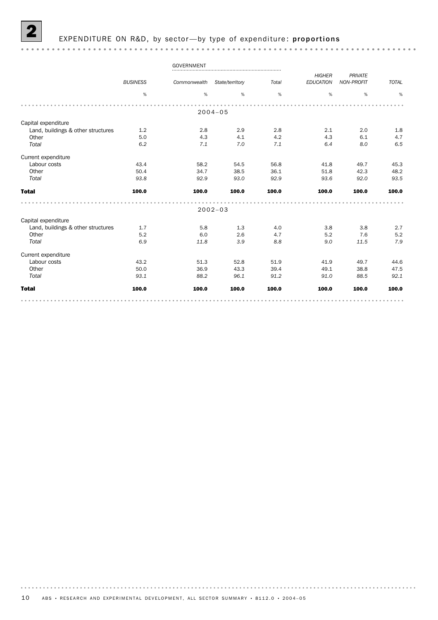#### EXPENDITURE ON R&D, by sector-by type of expenditure: proportions

#### GOVERNMENT *HIGHER PRIVATE BUSINESS Commonwealth State/territory Total TOTAL NON-PROFIT EDUCATION* % % % % % % % . . . . . . . . . . . . . . . . . . . . . . . . . . . . . . . . . . . . . . . . . . . . . . . . . . . . . . . . . 2004–05 Capital expenditure Land, buildings & other structures 1.2 2.8 2.9 2.8 2.1 2.0 1.8<br>Other 5.0 4.3 4.1 4.2 4.3 6.1 4.7 Other 5.0 5.0 4.3 4.1 4.2 4.3 6.1 4.7 *Total 6.2 7.1 7.0 7.1 6.4 8.0 6.5* Current expenditure Labour costs 43.4 58.2 54.5 56.8 41.8 49.7 45.3 Other 50.4 34.7 38.5 36.1 51.8 42.3 48.2 *Total 93.8 92.9 93.0 92.9 93.6 92.0 93.5* Total 100.0 100.0 100.0 100.0 100.0 100.0 100.0 . . . . . . . . . . . . . . . . . . . . . . . . . . . . . . . . . . . . . . . . . . . . . . . . . . . . . 2002–03 Capital expenditure Land, buildings & other structures 1.7 5.8 1.3 4.0 3.8 3.8 2.7 Other 5.2 6.0 2.6 4.7 5.2 7.6 5.2 *Total 6.9 11.8 3.9 8.8 9.0 11.5 7.9* Current expenditure Labour costs 43.2 51.3 52.8 51.9 41.9 49.7 44.6 0ther 50.0 50.0 36.9 43.3 39.4 49.1 38.8 47.5 *Total 93.1 88.2 96.1 91.2 91.0 88.5 92.1* Total 100.0 100.0 100.0 100.0 100.0 100.0 100.0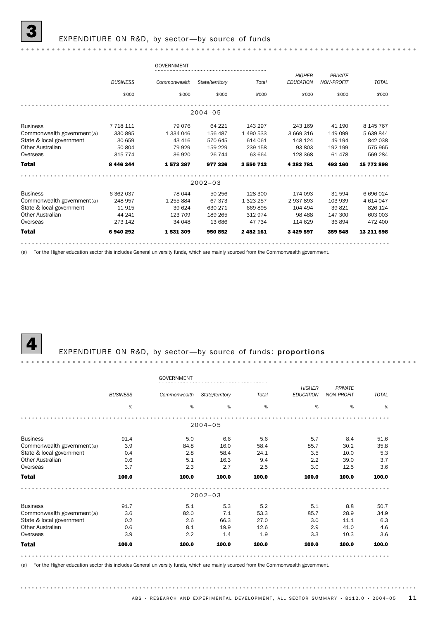#### EXPENDITURE ON R&D, by sector-by source of funds

#### GOVERNMENT *HIGHER PRIVATE BUSINESS Commonwealth State/territory Total TOTAL NON-PROFIT EDUCATION* \$'000 \$'000 \$'000 \$'000 \$'000 \$'000 \$'000 2004–05 Business 7 718 111 79 076 64 221 143 297 243 169 41 190 8 145 767 Commonwealth government(a) 330 895 1 334 046 156 487 1 490 533 3 669 316 149 099 5 639 844<br>
State & local government 30 659 43 416 570 645 614 061 148 124 49 194 842 038<br>
Other Australian 50 804 79 929 159 229 239 158 93 8 State & local government 30 659 43 416 570 645 614 061 148 124 49 194 842 038 Other Australian 50 804 79 929 159 229 239 158 93 803 192 199 575 965 Overseas 315 774 36 920 26 744 63 664 128 368 61 478 569 284 Total 8 446 244 1 573 387 977 326 2 550 713 4 282 781 493 160 15 772 898 2002–03 Business 6 362 037 78 044 50 256 128 300 174 093 31 594 6 696 024 Commonwealth government(a) 248 957 1 255 884 67 373 1 323 257 2 937 893 103 939 4 614 047<br>
State & local government 11 915 39 624 630 271 669 895 104 494 39 821 826 124 State & local government 11 915 39 624 630 271 669 895 104 494 39 821 826 124 Other Australian 44 241 123 709 189 265 312 974 98 488 147 300 603 003 Overseas 273 142 34 048 13 686 47 734 114 629 36 894 472 400 Total 6 940 292 1 531 309 950 852 2 482 161 3 429 597 359 548 13 211 598

(a) For the Higher education sector this includes General university funds, which are mainly sourced from the Commonwealth government.

#### EXPENDITURE ON R&D, by sector-by source of funds: proportions

|                            |                 | <b>GOVERNMENT</b> |                                 |       |                                   |                              |              |
|----------------------------|-----------------|-------------------|---------------------------------|-------|-----------------------------------|------------------------------|--------------|
|                            | <b>BUSINESS</b> |                   | Commonwealth<br>State/territory |       | <b>HIGHER</b><br><b>EDUCATION</b> | PRIVATE<br><b>NON-PROFIT</b> | <b>TOTAL</b> |
|                            | %               | %                 | %                               | %     | %                                 | %                            | %            |
|                            |                 |                   | $2004 - 05$                     |       |                                   |                              |              |
| <b>Business</b>            | 91.4            | 5.0               | 6.6                             | 5.6   | 5.7                               | 8.4                          | 51.6         |
| Commonwealth government(a) | 3.9             | 84.8              | 16.0                            | 58.4  | 85.7                              | 30.2                         | 35.8         |
| State & local government   | 0.4             | 2.8               | 58.4                            | 24.1  | 3.5                               | 10.0                         | 5.3          |
| Other Australian           | 0.6             | 5.1               | 16.3                            | 9.4   | 2.2                               | 39.0                         | 3.7          |
| Overseas                   | 3.7             | 2.3               | 2.7                             | 2.5   | 3.0                               | 12.5                         | 3.6          |
| <b>Total</b>               | 100.0           | 100.0             | 100.0                           | 100.0 | 100.0                             | 100.0                        | 100.0        |
|                            |                 |                   | $2002 - 03$                     |       |                                   |                              |              |
| <b>Business</b>            | 91.7            | 5.1               | 5.3                             | 5.2   | 5.1                               | 8.8                          | 50.7         |
| Commonwealth government(a) | 3.6             | 82.0              | 7.1                             | 53.3  | 85.7                              | 28.9                         | 34.9         |
| State & local government   | 0.2             | 2.6               | 66.3                            | 27.0  | 3.0                               | 11.1                         | 6.3          |
| <b>Other Australian</b>    | 0.6             | 8.1               | 19.9                            | 12.6  | 2.9                               | 41.0                         | 4.6          |
| Overseas                   | 3.9             | 2.2               | 1.4                             | 1.9   | 3.3                               | 10.3                         | 3.6          |
| <b>Total</b>               | 100.0           | 100.0             | 100.0                           | 100.0 | 100.0                             | 100.0                        | 100.0        |
|                            |                 |                   |                                 |       |                                   |                              |              |

(a) For the Higher education sector this includes General university funds, which are mainly sourced from the Commonwealth government.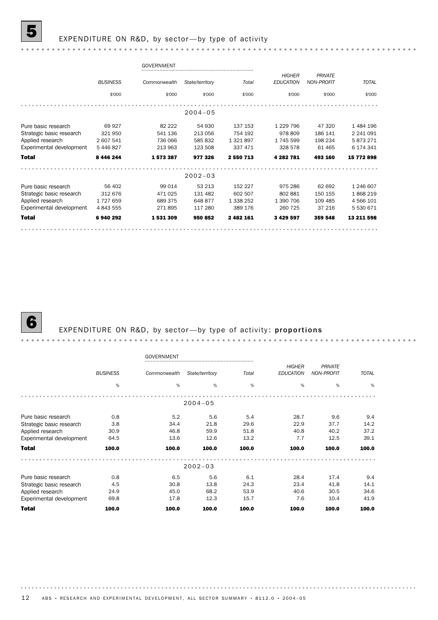#### EXPENDITURE ON R&D, by sector-by type of activity

#### GOVERNMENT *PRIVATE HIGHER BUSINESS Commonwealth State/territory Total TOTAL NON-PROFIT EDUCATION* \$'000 \$'000 \$'000 \$'000 \$'000 \$'000 \$'000 . . . . . . . . . . . . . . . . . . . . 2004–05 Pure basic research 69 927 82 222 54 930 137 153 1 229 796 47 320 1 484 196<br>
Strategic basic research 321 950 541 136 213 056 754 192 978 809 186 141 2 241 091<br>
Applied research 2 607 541 736 066 585 832 1 321 897 1 745 59 Strategic basic research 321 950 541 136 213 056 754 192 978 809 186 141 2 241 091 Applied research 2 607 541 736 066 585 832 1 321 897 1 745 599 198 234 5 873 271 Experimental development 5 446 827 213 963 123 508 337 471 328 578 61 465 6 174 341 Total 8 446 244 1 573 387 977 326 2 550 713 4 282 781 493 160 15 772 898 2002–03 Pure basic research 56 402 99 014 53 213 152 227 975 286 62 692 1 246 607 Strategic basic research 312 676 471 025 131 482 602 507 802 881 150 155 1 868 219 Applied research 1 727 659 689 375 648 877 1 338 252 1 390 706 109 485 4 566 101 Experimental development 4 843 555 271 895 117 280 389 176 260 725 37 216 5 530 671 Total 6 940 292 1 531 309 950 852 2 482 161 3 429 597 359 548 13 211 598

### EXPENDITURE ON R&D, by sector-by type of activity: proportions

|                          |                 | GOVERNMENT   |                 |       |                                   |                                     |              |
|--------------------------|-----------------|--------------|-----------------|-------|-----------------------------------|-------------------------------------|--------------|
|                          | <b>BUSINESS</b> | Commonwealth | State/territory | Total | <b>HIGHER</b><br><b>EDUCATION</b> | <b>PRIVATE</b><br><b>NON-PROFIT</b> | <b>TOTAL</b> |
|                          | $\%$            | %            | %               | %     | %                                 | %                                   | %            |
|                          |                 |              | $2004 - 05$     |       |                                   |                                     |              |
| Pure basic research      | 0.8             | 5.2          | 5.6             | 5.4   | 28.7                              | 9.6                                 | 9.4          |
| Strategic basic research | 3.8             | 34.4         | 21.8            | 29.6  | 22.9                              | 37.7                                | 14.2         |
| Applied research         | 30.9            | 46.8         | 59.9            | 51.8  | 40.8                              | 40.2                                | 37.2         |
| Experimental development | 64.5            | 13.6         | 12.6            | 13.2  | 7.7                               | 12.5                                | 39.1         |
| <b>Total</b>             | 100.0           | 100.0        | 100.0           | 100.0 | 100.0                             | 100.0                               | 100.0        |
|                          |                 |              | $2002 - 03$     |       |                                   |                                     |              |
| Pure basic research      | 0.8             | 6.5          | 5.6             | 6.1   | 28.4                              | 17.4                                | 9.4          |
| Strategic basic research | 4.5             | 30.8         | 13.8            | 24.3  | 23.4                              | 41.8                                | 14.1         |
| Applied research         | 24.9            | 45.0         | 68.2            | 53.9  | 40.6                              | 30.5                                | 34.6         |
| Experimental development | 69.8            | 17.8         | 12.3            | 15.7  | 7.6                               | 10.4                                | 41.9         |
| <b>Total</b>             | 100.0           | 100.0        | 100.0           | 100.0 | 100.0                             | 100.0                               | 100.0        |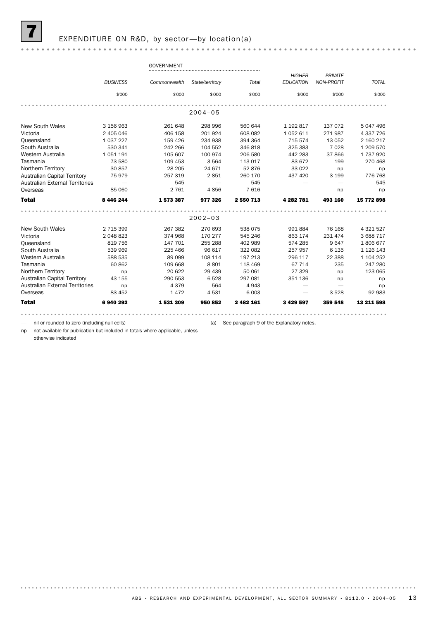#### GOVERNMENT *PRIVATE HIGHER BUSINESS Commonwealth State/territory Total TOTAL NON-PROFIT EDUCATION* \$'000 \$'000 \$'000 \$'000 \$'000 \$'000 \$'000 2004–05 New South Wales 3 156 963 261 648 298 996 560 644 1 192 817 137 072 5 047 496<br>Victoria 31 31 2405 046 406 158 201 924 608 082 1 052 611 271 987 4 337 726 Victoria 2 405 046 406 158 201 924 608 082 1 052 611 271 987 4 337 726 Queensland 1 037 227 159 426 234 938 394 364 715 574 13 052 2 160 217 South Australia 530 341 242 266 104 552 346 818 325 383 7 028 1 209 570 Western Australia 1 051 191 105 607 100 974 206 580 442 283 37 866 1 737 920 Tasmania 73 580 109 453 3 564 113 017 83 672 199 270 468 Northern Territory 30 857 28 205 24 671 52 876 33 022 np np Australian Capital Territory 75 979 257 319 2 851 260 170 437 420 3 199 776 768 Australian External Territories — 545 — 545 — — 545 Overseas 85 060 2 761 4 856 7 616 — np np Total 8 446 244 1 573 387 977 326 2 550 713 4 282 781 493 160 15 772 898 2002–03 New South Wales 2715 399 267 382 270 693 538 075 991 884 76 168 4 321 527 Victoria 2 048 823 2019 2019 202 210 030 300 010<br>Victoria 2 048 823 374 968 170 277 545 246 863 174 231 474 3 688 717<br>Queensland 819 756 147 701 255 288 402 989 574 285 9 647 1 806 677 Queensland 819 756 147 701 255 288 402 989 574 285 9 647 1 806 677 South Australia 539 969 225 466 96 617 322 082 257 957 6 135 1 126 143 Northern Australia and the 1990 108 114 197 213<br>
Northern Territory 13 588 535<br>
Northern Territory 13 155<br>
29 6 117 22 388 1104 252<br>
29 6 117 22 388 1104 252<br>
29 6 117 22 388 1104 252<br>
29 6 117 22 388 1104 252<br>
29 6 117 22 Western Australia 588 535 89 099 108 114 197 213 296 117 22 388 1 104 252 Tasmania 60 862 109 668 8 801 118 469 67 714 235 247 280 Australian Capital Territory 43 155 290 553 6 528 297 081 351 136 np np Australian External Territories np 4 379 564 4 943 — — np Overseas 83 452 1 472 4 531 6 003 — 3 528 92 983 Total 6 940 292 1 531 309 950 852 2 482 161 3 429 597 359 548 13 211 598

np not available for publication but included in totals where applicable, unless

nil or rounded to zero (including null cells) (a) See paragraph 9 of the Explanatory notes.

otherwise indicated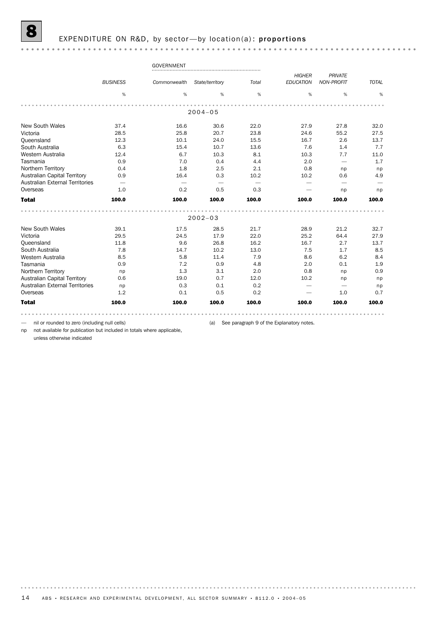|                                        |                 | <b>GOVERNMENT</b> |                 |       |                  |                          |              |
|----------------------------------------|-----------------|-------------------|-----------------|-------|------------------|--------------------------|--------------|
|                                        |                 |                   |                 |       | <b>HIGHER</b>    | <b>PRIVATE</b>           |              |
|                                        | <b>BUSINESS</b> | Commonwealth      | State/territory | Total | <b>EDUCATION</b> | <b>NON-PROFIT</b>        | <b>TOTAL</b> |
|                                        | %               | %                 | %               | %     | %                | %                        | %            |
|                                        |                 |                   |                 |       |                  |                          |              |
|                                        |                 |                   | $2004 - 05$     |       |                  |                          |              |
| <b>New South Wales</b>                 | 37.4            | 16.6              | 30.6            | 22.0  | 27.9             | 27.8                     | 32.0         |
| Victoria                               | 28.5            | 25.8              | 20.7            | 23.8  | 24.6             | 55.2                     | 27.5         |
| Queensland                             | 12.3            | 10.1              | 24.0            | 15.5  | 16.7             | 2.6                      | 13.7         |
| South Australia                        | 6.3             | 15.4              | 10.7            | 13.6  | 7.6              | 1.4                      | 7.7          |
| Western Australia                      | 12.4            | 6.7               | 10.3            | 8.1   | 10.3             | 7.7                      | 11.0         |
| Tasmania                               | 0.9             | 7.0               | 0.4             | 4.4   | 2.0              | $\overline{\phantom{0}}$ | 1.7          |
| Northern Territory                     | 0.4             | 1.8               | 2.5             | 2.1   | 0.8              | np                       | np           |
| <b>Australian Capital Territory</b>    | 0.9             | 16.4              | 0.3             | 10.2  | 10.2             | 0.6                      | 4.9          |
| <b>Australian External Territories</b> |                 |                   |                 |       |                  | -                        |              |
| Overseas                               | 1.0             | 0.2               | 0.5             | 0.3   |                  | np                       | np           |
| <b>Total</b>                           | 100.0           | 100.0             | 100.0           | 100.0 | 100.0            | 100.0                    | 100.0        |
|                                        |                 |                   |                 |       |                  |                          |              |
|                                        |                 |                   | $2002 - 03$     |       |                  |                          |              |
| <b>New South Wales</b>                 | 39.1            | 17.5              | 28.5            | 21.7  | 28.9             | 21.2                     | 32.7         |
| Victoria                               | 29.5            | 24.5              | 17.9            | 22.0  | 25.2             | 64.4                     | 27.9         |
| Queensland                             | 11.8            | 9.6               | 26.8            | 16.2  | 16.7             | 2.7                      | 13.7         |
| South Australia                        | 7.8             | 14.7              | 10.2            | 13.0  | 7.5              | 1.7                      | 8.5          |
| Western Australia                      | 8.5             | 5.8               | 11.4            | 7.9   | 8.6              | 6.2                      | 8.4          |
| Tasmania                               | 0.9             | 7.2               | 0.9             | 4.8   | 2.0              | 0.1                      | 1.9          |
| Northern Territory                     | np              | 1.3               | 3.1             | 2.0   | 0.8              | np                       | 0.9          |
| Australian Capital Territory           | 0.6             | 19.0              | 0.7             | 12.0  | 10.2             | np                       | np           |
| <b>Australian External Territories</b> | np              | 0.3               | 0.1             | 0.2   |                  |                          | np           |
| Overseas                               | 1.2             | 0.1               | 0.5             | 0.2   |                  | 1.0                      | 0.7          |
| <b>Total</b>                           | 100.0           | 100.0             | 100.0           | 100.0 | 100.0            | 100.0                    | 100.0        |
|                                        |                 |                   |                 |       |                  |                          |              |

— nil or rounded to zero (including null cells) (a) See paragraph 9 of the Explanatory notes.

np not available for publication but included in totals where applicable,

unless otherwise indicated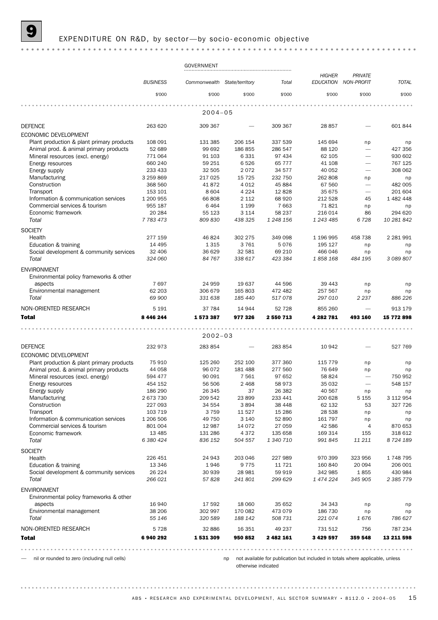#### EXPENDITURE ON R&D, by sector-by socio- economic objective

#### GOVERNMENT *HIGHER PRIVATE BUSINESS Commonwealth State/territory Total TOTAL NON-PROFIT EDUCATION* \$'000 \$'000 \$'000 \$'000 \$'000 \$'000 \$'000 . . . . . . . . . . . . 2004–05 DEFENCE 263 620 309 367 — 309 367 28 857 — 601 844 ECONOMIC DEVELOPMENT Plant production & plant primary products 108 091 131 385 206 154 337 539 145 694 np np Animal prod. & animal primary products 52 689 99 692 186 855 286 547 88 120 - 427 356 Mineral resources (excl. energy)  $771\,064$  91 103 6 331 97 434 62 105 - 930 602 Energy resources 660 240 59 251 6 526 65 777 41 108 — 767 125 Energy supply 233 433 32 505 2 072 34 577 40 052 — 308 062 Manufacturing 3 259 869 217 025 15 725 232 750 262 808 np np Construction 368 560 41 872 4 012 45 884 67 560 — 482 005 Transport 153 101 8 604 4 224 12 828 35 675 — 201 604 Information & communication services 1 200 955 66 808 2 112 68 920 212 528 45 1 482 448 Commercial services & tourism 0955 187 664 956 189 6464 1 199 7 663 71 821 np np Economic framework 20 284 55 123 3 114 58 237 216 014 86 294 620 *Total 7 783 473 809 830 438 325 1 248 156 1 243 485 6 728 10 281 842* **SOCIETY** Health 277 159 46 824 302 275 349 098 1 196 995 458 738 2 281 991 Education & training 14 495 1315 1316 1316 15076 195127 np Social development & community services 32 406 36 629 32 581 69 210 466 046 np np<br>70tal 324 060 84 767 338 617 423 384 1 858 168 484 195 3 089 807 *Total 324 060 84 767 338 617 423 384 1 858 168 484 195 3 089 807* ENVIRONMENT Environmental policy frameworks & other aspects 7 697 24 959 19 637 44 596 39 443 np np Environmental management 62 203 306 679 165 803 472 482 257 567 np np *Total 69 900 331 638 185 440 517 078 297 010 2 237 886 226* NON-ORIENTED RESEARCH 5 191 37 784 14 944 52 728 855 260 — 913 179 Total 8 446 244 1 573 387 977 326 2 550 713 4 282 781 493 160 15 772 898 2002–03 DEFENCE 232 973 283 854 — 283 854 10 942 — 527 769 ECONOMIC DEVELOPMENT Plant production & plant primary products at  $75\,910$  125 260 252 100 377 360 115 779 np np np Animal prod. & animal primary products 44 058 96 072 181 488 277 560 76 649 np np Mineral resources (excl. energy) 594 477 90 091 7 561 97 652 58 824 — 750 952 Energy resources  $\frac{36506}{186290}$  454 152 56 506 2 468 58 973 35 032  $-$  548 157<br>
Frieral supply supply Energy supply 186 290 26 345 37 26 382 40 567 np np Manufacturing 2 673 730 209 542 23 899 233 441 200 628 5 155 3 112 954 Construction 227 093 34 554 3 894 38 448 62 132 53 327 726 Transport 103 719 3 759 11 527 15 286 28 538 np np Information & communication services 1 206 506 49 750 3 140 52 890 161 797 np np Commercial services & tourism 801 004 12 987 14 072 27 059 42 586 4 870 653 Economic framework 13 485 131 286 4 372 135 658 169 314 155 318 612 *Total 6 380 424 836 152 504 557 1 340 710 991 845 11 211 8 724 189* **SOCIETY** Health 226 451 24 943 203 046 227 989 970 399 323 956 1 748 795 Education & training 13 346 1946 9 775 11 721 160 840 20094 206 001 Social development & community services 26 224 30 939 28 981 59 919 342 985 1 855 430 984 *Total 266 021 57 828 241 801 299 629 1 474 224 345 905 2 385 779* ENVIRONMENT Environmental policy frameworks & other aspects 16 940 17 592 18 060 35 652 34 343 np np Environmental management 38 206 302 997 170 082 473 079 186 730 np np *Total 55 146 320 589 188 142 508 731 221 074 1 676 786 627* NON-ORIENTED RESEARCH 5 728 32 886 16 351 49 237 731 512 756 787 234 Total 6 940 292 1 531 309 950 852 2 482 161 3 429 597 359 548 13 211 598

— nil or rounded to zero (including null cells)

np not available for publication but included in totals where applicable, unless otherwise indicated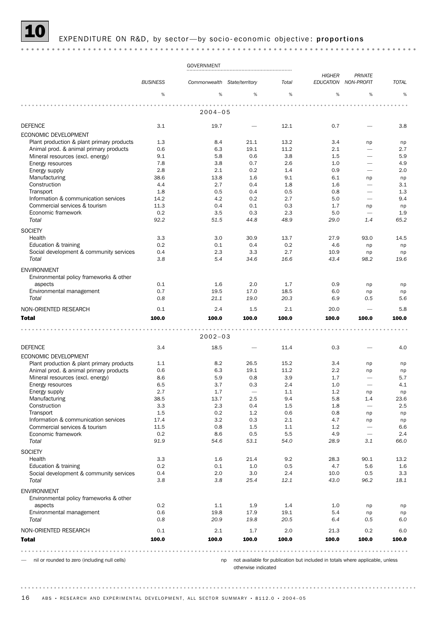#### EXPENDITURE ON R&D, by sector-by socio-economic objective: proportions

#### GOVERNMENT *HIGHER PRIVATE BUSINESS Commonwealth State/territory Total TOTAL NON-PROFIT EDUCATION* % % % % % % % . . . . . . . . . . . . . . . . . 2004–05 DEFENCE 3.1 19.7 — 12.1 0.7 — 3.8 ECONOMIC DEVELOPMENT Plant production & plant primary products 1.3 8.4 21.1 13.2 3.4 np np np Animal prod. & animal primary products 0.6 6.3 19.1 11.2 2.1 – 2.7 Mineral resources (excl. energy) 5.8 5.8 0.6 3.8 1.5 – 5.9 Energy resources 7.8 3.8 0.7 2.6 1.0 — 4.9 Energy supply 2.8 2.1 0.2 1.4 0.9 — 2.0 Manufacturing 38.6 13.8 1.6 9.1 6.1 np np  $\text{Construction} \quad 4.4 \quad 2.7 \quad 0.4 \quad 1.8 \quad 1.6 \quad - \quad 3.1$  $\rm{Transport}$  , the contract of the contract of the contract of the contract of the contract of the contract of the contract of the contract of the contract of the contract of the contract of the contract of the contract of the Information & communication services  $14.2$   $4.2$   $0.2$   $2.7$   $5.0$   $9.4$ Commercial services & tourism 11.3 0.4 0.1 0.3 1.7 np np np Economic framework **0.2** 0.2 3.5 0.3 2.3 5.0 — 1.9 *Total 92.2 51.5 44.8 48.9 29.0 1.4 65.2* SOCIETY<br>Health Health 3.3 3.0 30.9 13.7 27.9 93.0 14.5 Education & training  $\begin{array}{cccc} 0.2 & 0.1 & 0.4 & 0.2 & 4.6 & \text{np} & \text{np} \end{array}$ Social development & community services  $0.4$  2.3 3.3 2.7 10.9 np np np *Total 3.8 5.4 34.6 16.6 43.4 98.2 19.6* ENVIRONMENT Environmental policy frameworks & other aspects 0.1 1.6 2.0 1.7 0.9 np np Environmental management and the control or control or the control or the control or the control or control or the control or the control or the control or the control or the control or the control or the control or contro *Total 0.8 21.1 19.0 20.3 6.9 0.5 5.6* NON-ORIENTED RESEARCH 0.1 2.4 1.5 2.1 20.0 — 5.8 Total 100.0 100.0 100.0 100.0 100.0 100.0 100.0 2002–03 DEFENCE 3.4 18.5 — 11.4 0.3 — 4.0 ECONOMIC DEVELOPMENT Plant production & plant primary products  $1.1$  8.2 26.5 15.2 3.4 np np np Animal prod. & animal primary products and the contract o.6 and the contract o.6 contract o.63 to 11.2 2.2 np np np Mineral resources (excl. energy) 8.6 5.9 0.8 3.9 1.7 – 5.7 Energy resources and the set of  $6.5$   $3.7$   $0.3$   $2.4$   $1.0$   $4.1$ Energy supply 2.7 1.7 — 1.1 1.2 np np Manufacturing 38.5 13.7 2.5 9.4 5.8 1.4 23.6 Construction 3.3 2.3 0.4 1.5 1.8 — 2.5 Transport 1.5 0.2 1.2 0.6 0.8 np np Information & communication services  $17.4$  3.2 0.3 2.1 4.7 np np np Commercial services & tourism 11.5 0.8 1.5 1.1 1.2 — 6.6 Economic framework 0.2 8.6 0.5 5.5 4.9 — 2.4 *Total 91.9 54.6 53.1 54.0 28.9 3.1 66.0* **SOCIETY** Health 3.3 1.6 21.4 9.2 28.3 90.1 13.2 Education & training 0.2 0.1 1.0 0.5 4.7 5.6 1.6 Social development & community services  $0.4$  2.0 3.0 2.4 10.0 0.5 3.3 *Total 3.8 3.8 25.4 12.1 43.0 96.2 18.1* ENVIRONMENT Environmental policy frameworks & other aspects 0.2 1.1 1.9 1.4 1.0 np np Environmental management 0.6 19.8 17.9 19.1 5.4 np np *Total 0.8 20.9 19.8 20.5 6.4 0.5 6.0* NON-ORIENTED RESEARCH 0.1 2.1 1.7 2.0 21.3 0.2 6.0 Total 100.0 100.0 100.0 100.0 100.0 100.0 100.0

— nil or rounded to zero (including null cells)

np not available for publication but included in totals where applicable, unless otherwise indicated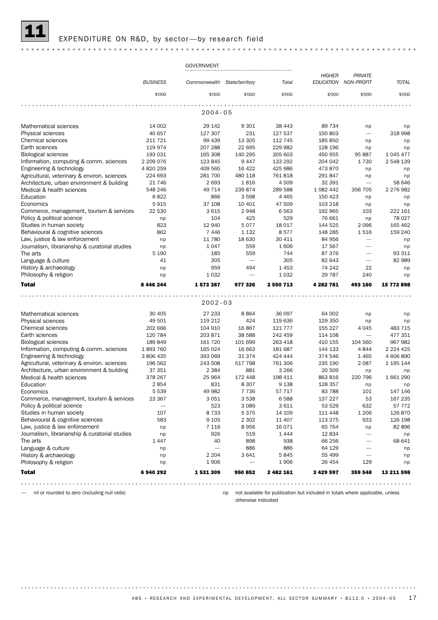#### EXPENDITURE ON R&D, by sector-by research field

#### GOVERNMENT *HIGHER PRIVATE BUSINESS Commonwealth State/territory Total TOTAL NON-PROFIT EDUCATION* \$'000 \$'000 \$'000 \$'000 \$'000 \$'000 \$'000 . . . . . . . . . . . . . . . . 2004–05 Mathematical sciences and the control of the control of the control of the control of the control of the control of the control of the control of the control of the control of the control of the control of the control of t Physical sciences **40 657** 127 307 231 127 537 150 803 - 318 998<br>Chemical sciences 211 721 99 439 13 305 112 745 185 850 np p Chemical sciences 211 721 99 439 13 305 112 745 185 850 np np Earth sciences 119 974 207 288 22 695 229 982 128 196 np np Biological sciences 193 031 165 308 140 295 305 603 450 955 95 887 1 045 477 Information, computing & comm. sciences 2 209 076 123 845 9 447 133 292 204 042 1 730 2 548 139 Engineering & technology **4820 259** 409 565 46422 425 986 473 870 np np Agricultural, veterinary & environ. sciences 224 693 281 700 480 118 761 818 291 847 np np Architecture, urban environment & building 21 746 2 693 1 816 4 509 32 391 - 58 646 Medical & health sciences 648 246 49 714 239 874 289 588 1 082 442 356 705 2 276 982<br>Education 6822 686 3 598 4 465 150 423 np pp Education 6 822 866 3 598 4 465 150 423 np np Economics 5 915 37 108 10 401 47 509 103 218 np np Commerce, management, tourism & services 22 530 3 615 2 948 6 563 192 965 103 222 161 Policy & political science 18 027 np 104 125 529 76 661 np 78 027 Studies in human society **823** 12 940 5 077 18 017 144 525 2 096 165 462 Behavioural & cognitive sciences 662 7 446 1 132 8 577 148 285 1 516 159 240 Law, justice & law enforcement https://www.inp 11 780 18 630 30 411 84 956 – np Journalism, librarianship & curatorial studies np 1 047 559 1 606 17 567 — np The arts 5 190 185 559 744 87 376 — 93 311 Language & culture 41 305 — 305 82 643 — 82 989 History & archaeology np 959 494 1 453 74 242 22 np Philosophy & religion and the control of the control of the control of the control of the control of the control of the control of the control of the control of the control of the control of the control of the control of t Total 8 446 244 1 573 387 977 326 2 550 713 4 282 781 493 160 15 772 898 2002–03 Mathematical sciences and the set of the set of the set of the set of the set of the set of the set of the set o<br>  $49501$  119 212 424 119 636 129 350 np np np Physical sciences 49 501 119 212 424 119 636 129 350 np np Chemical sciences 202 666 104 910 16 867 121 777 155 227 4 045 483 715<br>
Earth sciences 120 784 203 871 38 588 242 459 114 108 - 477 351 Earth sciences 120 784 203 871 38 588 242 459 114 108 — 477 351 Biological sciences 189 849 161 720 101 699 263 418 410 155 104 560 967 982 Information, computing & comm. sciences 1 893 760 165 024 16 663 181 687 144 133 4 844 2 224 425 Engineering & technology 3806 435 393 069 31 374 424 444 374 546 1 465 4 606 890 Agricultural, veterinary & environ. sciences 196 562 243 508 517 798 761 306 235 190 2 087 1 195 144 Architecture, urban environment & building 37 351 2 384 881 3 266 20 509 np np Medical & health sciences 378 267 25 964 172 448 198 411 863 816 220 796 1 661 290<br>Education 2 854 831 8 307 9 138 128 357 np Education 2 854 831 8 307 9 138 128 357 np np Economics 5 539 49 982 7 736 57 717 83 788 101 147 146 Commerce, management, tourism & services 23 367 3 051 3 538 6 588 137 227 53 167 235 Policy & political science — 523 3 089 3 611 53 529 632 57 772 Studies in human society 107 107 8 733 5 375 14 109 111 448 1 206 126 870 Behavioural & cognitive sciences 583 9 105 2 302 11 407 113 275 933 126 198 Law, justice & law enforcement np 7 116 8 956 16 071 65 764 np 82 896 Journalism, librarianship & curatorial studies np 526 519 1 444 12 834 — np<br>The arts 1 938 66 256 — 68 641 The arts 1 447 40 898 938 66 256 — 68 641  $\Box$ Language & culture  $\Box$  1.1 mp  $\Box$   $\Box$  886 886 64 129  $\Box$  np History & archaeology np 2 204 3 641 5 845 55 499 — np

Total 6 940 292 1 531 309 950 852 2 482 161 3 429 597 359 548 13 211 598 Philosophy & religion and the control of the control of the control of the control of the control of the control of the control of the control of the control of the control of the control of the control of the control of t

— nil or rounded to zero (including null cells)

np not available for publication but included in totals where applicable, unless otherwise indicated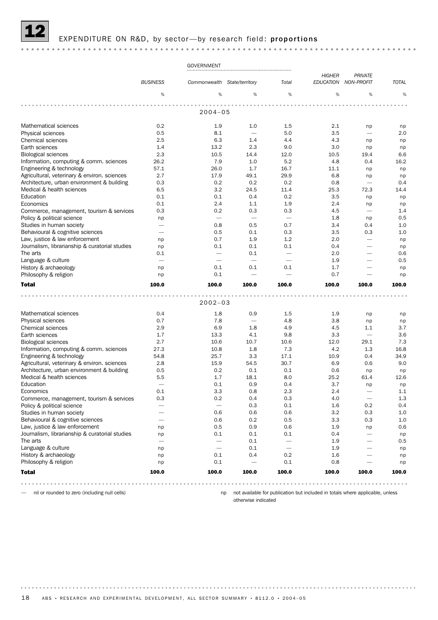## EXPENDITURE ON R&D, by sector-by research field: proportions

## 

|                                                |                          | <b>GOVERNMENT</b>            |                                 |                                 |                  |                                 |              |
|------------------------------------------------|--------------------------|------------------------------|---------------------------------|---------------------------------|------------------|---------------------------------|--------------|
|                                                |                          |                              |                                 |                                 | <b>HIGHER</b>    | <b>PRIVATE</b>                  |              |
|                                                | <b>BUSINESS</b>          | Commonwealth State/territory |                                 | Total                           | <b>EDUCATION</b> | <b>NON-PROFIT</b>               | <b>TOTAL</b> |
|                                                |                          |                              |                                 |                                 |                  |                                 |              |
|                                                | %                        | %                            | %                               | %                               | %                | %                               | %            |
|                                                |                          |                              |                                 |                                 |                  |                                 |              |
|                                                |                          | $2004 - 05$                  |                                 |                                 |                  |                                 |              |
|                                                |                          |                              |                                 |                                 |                  |                                 |              |
| Mathematical sciences                          | 0.2                      | 1.9                          | 1.0                             | 1.5                             | 2.1              | np                              | np           |
| Physical sciences                              | 0.5                      | 8.1                          | $\overbrace{\phantom{1232211}}$ | 5.0                             | 3.5              | $\overbrace{\phantom{1232211}}$ | 2.0          |
| <b>Chemical sciences</b>                       | 2.5                      | 6.3                          | 1.4                             | 4.4                             | 4.3              | np                              | np           |
| Earth sciences                                 | 1.4                      | 13.2                         | 2.3                             | 9.0                             | 3.0              | np                              | np           |
| Biological sciences                            | 2.3                      | 10.5                         | 14.4                            | 12.0                            | 10.5             | 19.4                            | 6.6          |
| Information, computing & comm. sciences        | 26.2                     | 7.9                          | 1.0                             | 5.2                             | 4.8              | 0.4                             | 16.2         |
| Engineering & technology                       | 57.1                     | 26.0                         | 1.7                             | 16.7                            | 11.1             | np                              | np           |
| Agricultural, veterinary & environ. sciences   | 2.7                      | 17.9                         | 49.1                            | 29.9                            | 6.8              | np                              | np           |
| Architecture, urban environment & building     | 0.3                      | 0.2                          | 0.2                             | 0.2                             | 0.8              |                                 | 0.4          |
| Medical & health sciences                      | 6.5                      | 3.2                          | 24.5                            | 11.4                            | 25.3             | 72.3                            | 14.4         |
| Education                                      | 0.1                      | 0.1                          | 0.4                             | 0.2                             | 3.5              | np                              | np           |
| Economics                                      | 0.1                      | 2.4                          | 1.1                             | 1.9                             | 2.4              | np                              | np           |
| Commerce, management, tourism & services       | 0.3                      | 0.2                          | 0.3                             | 0.3                             | 4.5              | $\overline{\phantom{0}}$        | 1.4          |
| Policy & political science                     | np                       |                              |                                 | $\overline{\phantom{0}}$        | 1.8              | np                              | 0.5          |
| Studies in human society                       | $\overline{\phantom{0}}$ | 0.8                          | 0.5                             | 0.7                             | 3.4              | 0.4                             | 1.0          |
| Behavioural & cognitive sciences               | $\overline{\phantom{0}}$ | 0.5                          | 0.1                             | 0.3                             | 3.5              | 0.3                             | 1.0          |
| Law, justice & law enforcement                 | np                       | 0.7                          | 1.9                             | 1.2                             | 2.0              |                                 | np           |
| Journalism, librarianship & curatorial studies | np                       | 0.1                          | 0.1                             | 0.1                             | 0.4              | $\overline{\phantom{0}}$        | np           |
| The arts                                       | 0.1                      |                              | 0.1                             | $\overline{\phantom{m}}$        | 2.0              |                                 | 0.6          |
| Language & culture                             |                          |                              | $\overline{\phantom{0}}$        |                                 | 1.9              |                                 | 0.5          |
| History & archaeology                          | np                       | 0.1                          | 0.1                             | 0.1                             | 1.7              | $\overline{\phantom{0}}$        | np           |
| Philosophy & religion                          | np                       | 0.1                          | $\overline{\phantom{0}}$        |                                 | 0.7              |                                 | np           |
|                                                |                          |                              |                                 |                                 |                  |                                 |              |
|                                                |                          |                              |                                 |                                 |                  | 100.0                           | 100.0        |
| <b>Total</b>                                   | 100.0                    | 100.0                        | 100.0                           | 100.0                           | 100.0            |                                 |              |
|                                                |                          |                              |                                 |                                 |                  |                                 |              |
|                                                |                          | $2002 - 03$                  |                                 |                                 |                  |                                 |              |
| Mathematical sciences                          | 0.4                      | 1.8                          | 0.9                             | 1.5                             | 1.9              | np                              | np           |
| Physical sciences                              | 0.7                      | 7.8                          | $\overline{\phantom{0}}$        | 4.8                             | 3.8              | np                              | np           |
| Chemical sciences                              | 2.9                      | 6.9                          | 1.8                             | 4.9                             | 4.5              | 1.1                             | 3.7          |
| Earth sciences                                 | 1.7                      | 13.3                         | 4.1                             | 9.8                             | 3.3              | $\overline{\phantom{0}}$        | 3.6          |
| Biological sciences                            | 2.7                      | 10.6                         | 10.7                            | 10.6                            | 12.0             | 29.1                            | 7.3          |
| Information, computing & comm. sciences        | 27.3                     | 10.8                         | 1.8                             | 7.3                             | 4.2              | 1.3                             | 16.8         |
| Engineering & technology                       | 54.8                     | 25.7                         | 3.3                             | 17.1                            | 10.9             | 0.4                             | 34.9         |
| Agricultural, veterinary & environ. sciences   | 2.8                      | 15.9                         | 54.5                            | 30.7                            | 6.9              | 0.6                             | 9.0          |
| Architecture, urban environment & building     | 0.5                      | 0.2                          | 0.1                             | 0.1                             | 0.6              | np                              | np           |
| Medical & health sciences                      | 5.5                      | 1.7                          | 18.1                            | 8.0                             | 25.2             | 61.4                            | 12.6         |
| Education                                      |                          | 0.1                          | 0.9                             | 0.4                             | 3.7              | np                              | np           |
| Economics                                      | 0.1                      | 3.3                          | 0.8                             | 2.3                             | 2.4              |                                 | 1.1          |
| Commerce, management, tourism & services       | 0.3                      | 0.2                          | 0.4                             | 0.3                             | 4.0              |                                 | 1.3          |
| Policy & political science                     |                          | $\overline{\phantom{0}}$     | 0.3                             | 0.1                             | 1.6              | 0.2                             | 0.4          |
| Studies in human society                       |                          | 0.6                          | 0.6                             | 0.6                             | 3.2              | 0.3                             | 1.0          |
| Behavioural & cognitive sciences               | -                        | 0.6                          | 0.2                             | 0.5                             | 3.3              | 0.3                             | 1.0          |
| Law, justice & law enforcement                 | np                       | 0.5                          | 0.9                             | 0.6                             | 1.9              | np                              | 0.6          |
| Journalism, librarianship & curatorial studies | np                       | 0.1                          | 0.1                             | 0.1                             | 0.4              | $\overline{\phantom{0}}$        | np           |
| The arts                                       |                          |                              | 0.1                             |                                 | 1.9              |                                 | 0.5          |
| Language & culture                             | np                       | $\overline{\phantom{0}}$     | 0.1                             | $\overbrace{\phantom{1232211}}$ | 1.9              |                                 | np           |
| History & archaeology                          | np                       | 0.1                          | 0.4                             | 0.2                             | 1.6              |                                 | np           |
| Philosophy & religion                          | np                       | 0.1                          |                                 | 0.1                             | 0.8              |                                 | np           |
|                                                |                          |                              |                                 |                                 |                  |                                 |              |
| <b>Total</b>                                   | 100.0                    | 100.0                        | 100.0                           | 100.0                           | 100.0            | 100.0                           | 100.0        |

— nil or rounded to zero (including null cells)

np not available for publication but included in totals where applicable, unless otherwise indicated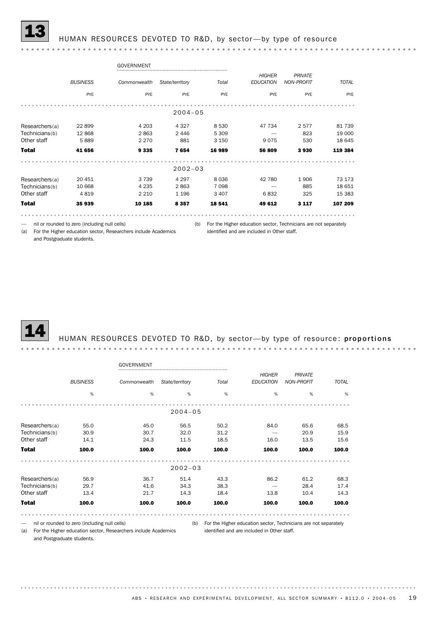## HUMAN RESOURCES DEVOTED TO R&D, by sector-by type of resource

#### GOVERNMENT *PRIVATE HIGHER BUSINESS Commonwealth State/territory Total TOTAL NON-PROFIT EDUCATION* PYE PYE PYE PYE PYE PYE PYE 2004–05 Researchers(a) 22 899 4 203 4 327 8 530 47 734 2 577 81 739<br>
Technicians(b) 12 868 2 863 2 446 5 309 - 823 19 000<br>
Other staff 5 889 2 270 881 3 150 9 075 530 18 645 Researchers(a) 22 899 4 203 4 327 8 530 47 734 2 577 81 739 Technicians(b) 12 868 2 863 2 446 5 309 - 823 19 000 Total 41 656 9 335 7 654 16 989 56 809 3 930 119 384 2002–03 Researchers(a) 20 451 3739 4 297 8 036 4 2 780 1 906 73 173 Total 35 939 10 185 8 357 18 541 49 612 3 117 107 209 Technicians(b) 10 668 4 235 2 863 7 098 — 885 18 651 Other staff 4 819 2 210 1 196 3 407 6 832 325 15 383

— nil or rounded to zero (including null cells)

(b) For the Higher education sector, Technicians are not separately

(a) For the Higher education sector, Researchers include Academics identified and are included in Other staff. and Postgraduate students.



#### HUMAN RESOURCES DEVOTED TO R&D, by sector-by type of resource: proportions

|                |                 | GOVERNMENT   |                 |       |                  |                   |                      |
|----------------|-----------------|--------------|-----------------|-------|------------------|-------------------|----------------------|
|                |                 |              |                 |       | <b>HIGHER</b>    | <b>PRIVATE</b>    |                      |
|                | <b>BUSINESS</b> | Commonwealth | State/territory | Total | <b>EDUCATION</b> | <b>NON-PROFIT</b> | <b>TOTAL</b>         |
|                | $\%$            | %            | %               | %     | %                | %                 | %                    |
|                |                 |              |                 |       |                  |                   |                      |
|                |                 |              | $2004 - 05$     |       |                  |                   |                      |
| Researchers(a) | 55.0            | 45.0         | 56.5            | 50.2  | 84.0             | 65.6              | 68.5                 |
| Technicians(b) | 30.9            | 30.7         | 32.0            | 31.2  |                  | 20.9              | 15.9                 |
| Other staff    | 14.1            | 24.3         | 11.5            | 18.5  | 16.0             | 13.5              | 15.6                 |
| <b>Total</b>   | 100.0           | 100.0        | 100.0           | 100.0 | 100.0            | 100.0             | 100.0                |
|                |                 |              | $2002 - 03$     |       |                  |                   |                      |
|                |                 |              |                 |       |                  |                   |                      |
| Researchers(a) | 56.9            | 36.7         | 51.4            | 43.3  | 86.2             | 61.2              | 68.3                 |
| Technicians(b) | 29.7            | 41.6         | 34.3            | 38.3  |                  | 28.4              | 17.4                 |
| Other staff    | 13.4            | 21.7         | 14.3            | 18.4  | 13.8             | 10.4              | 14.3                 |
| <b>Total</b>   | 100.0           | 100.0        | 100.0           | 100.0 | 100.0            | 100.0             | 100.0                |
| $\cdots$       |                 |              |                 |       |                  |                   | 0.0.0.0<br>$\bullet$ |

— nil or rounded to zero (including null cells)

(b) For the Higher education sector, Technicians are not separately identified and are included in Other staff.

(a) For the Higher education sector, Researchers include Academics and Postgraduate students.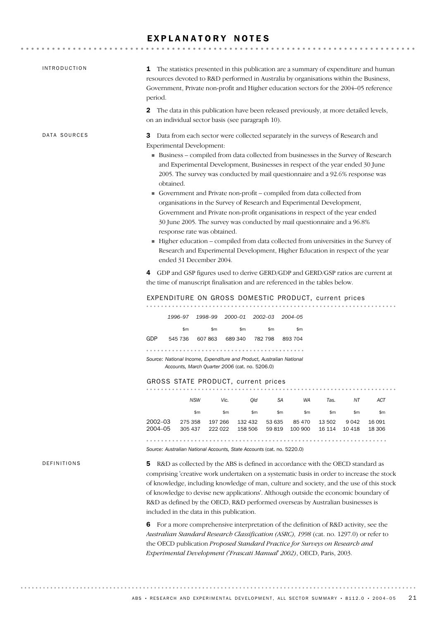## EXPLANATORY NOTES

| <b>INTRODUCTION</b> | <b>1</b> The statistics presented in this publication are a summary of expenditure and human<br>resources devoted to R&D performed in Australia by organisations within the Business,<br>Government, Private non-profit and Higher education sectors for the 2004-05 reference<br>period.                                                                                                                                                                                                                                                                                                                                                                                                                                                                                                                                                                                                                                                                                                                                                                                                                  |
|---------------------|------------------------------------------------------------------------------------------------------------------------------------------------------------------------------------------------------------------------------------------------------------------------------------------------------------------------------------------------------------------------------------------------------------------------------------------------------------------------------------------------------------------------------------------------------------------------------------------------------------------------------------------------------------------------------------------------------------------------------------------------------------------------------------------------------------------------------------------------------------------------------------------------------------------------------------------------------------------------------------------------------------------------------------------------------------------------------------------------------------|
|                     | The data in this publication have been released previously, at more detailed levels,<br>$\mathbf{2}$<br>on an individual sector basis (see paragraph 10).                                                                                                                                                                                                                                                                                                                                                                                                                                                                                                                                                                                                                                                                                                                                                                                                                                                                                                                                                  |
| DATA SOURCES        | Data from each sector were collected separately in the surveys of Research and<br>3<br>Experimental Development:<br>Business - compiled from data collected from businesses in the Survey of Research<br>and Experimental Development, Businesses in respect of the year ended 30 June<br>2005. The survey was conducted by mail questionnaire and a 92.6% response was<br>obtained.<br>Government and Private non-profit - compiled from data collected from<br>organisations in the Survey of Research and Experimental Development,<br>Government and Private non-profit organisations in respect of the year ended<br>30 June 2005. The survey was conducted by mail questionnaire and a 96.8%<br>response rate was obtained.<br>Higher education - compiled from data collected from universities in the Survey of<br>Research and Experimental Development, Higher Education in respect of the year<br>ended 31 December 2004.<br>GDP and GSP figures used to derive GERD/GDP and GERD/GSP ratios are current at<br>4<br>the time of manuscript finalisation and are referenced in the tables below. |
|                     | EXPENDITURE ON GROSS DOMESTIC PRODUCT, current prices                                                                                                                                                                                                                                                                                                                                                                                                                                                                                                                                                                                                                                                                                                                                                                                                                                                                                                                                                                                                                                                      |
|                     | 1996-97 1998-99 2000-01 2002-03 2004-05<br>\$m<br>\$m<br>\$m<br>\$m<br>\$m<br>545 736 607 863 689 340 782 798 893 704<br>GDP<br>Source: National Income, Expenditure and Product, Australian National<br>Accounts, March Quarter 2006 (cat. no. 5206.0)<br>GROSS STATE PRODUCT, current prices                                                                                                                                                                                                                                                                                                                                                                                                                                                                                                                                                                                                                                                                                                                                                                                                             |
|                     | <b>NSW</b><br>ACT<br>Vic.<br>Qld<br>SА<br>WA<br>Tas.<br>ΝT                                                                                                                                                                                                                                                                                                                                                                                                                                                                                                                                                                                                                                                                                                                                                                                                                                                                                                                                                                                                                                                 |
|                     | \$m\$<br>\$m<br>\$m<br>\$m<br>\$m\$<br>\$m<br>\$m<br>\$m\$<br>$2002 - 03$<br>275 358<br>197 266<br>132 432<br>53 635<br>85 470<br>9042<br>13 502<br>16 091<br>2004-05<br>305 437<br>222 022<br>158 506<br>59 819<br>100 900<br>16 114<br>10 4 18<br>18 30 6<br>Source: Australian National Accounts, State Accounts (cat. no. 5220.0)                                                                                                                                                                                                                                                                                                                                                                                                                                                                                                                                                                                                                                                                                                                                                                      |
| DEFINITIONS         | R&D as collected by the ABS is defined in accordance with the OECD standard as<br>5<br>comprising 'creative work undertaken on a systematic basis in order to increase the stock<br>of knowledge, including knowledge of man, culture and society, and the use of this stock<br>of knowledge to devise new applications'. Although outside the economic boundary of<br>R&D as defined by the OECD, R&D performed overseas by Australian businesses is<br>included in the data in this publication.<br>For a more comprehensive interpretation of the definition of R&D activity, see the<br>6<br>Australian Standard Research Classification (ASRC), 1998 (cat. no. 1297.0) or refer to<br>the OECD publication Proposed Standard Practice for Surveys on Research and<br>Experimental Development ('Frascati Manual' 2002), OECD, Paris, 2003.                                                                                                                                                                                                                                                            |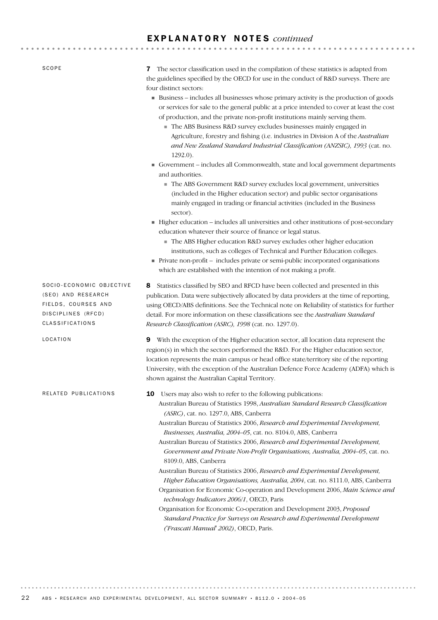## E X P L A N A T O R Y N O T E S *continued*

| SCOPE                                                                                                          | The sector classification used in the compilation of these statistics is adapted from<br>7<br>the guidelines specified by the OECD for use in the conduct of R&D surveys. There are<br>four distinct sectors:                                                                                                                                                                                                                                                                                                                                                                                                                                                                                                                                                                                                                                                                                                                                                                                                                              |
|----------------------------------------------------------------------------------------------------------------|--------------------------------------------------------------------------------------------------------------------------------------------------------------------------------------------------------------------------------------------------------------------------------------------------------------------------------------------------------------------------------------------------------------------------------------------------------------------------------------------------------------------------------------------------------------------------------------------------------------------------------------------------------------------------------------------------------------------------------------------------------------------------------------------------------------------------------------------------------------------------------------------------------------------------------------------------------------------------------------------------------------------------------------------|
|                                                                                                                | Business - includes all businesses whose primary activity is the production of goods<br>or services for sale to the general public at a price intended to cover at least the cost<br>of production, and the private non-profit institutions mainly serving them.<br>The ABS Business R&D survey excludes businesses mainly engaged in<br>Agriculture, forestry and fishing (i.e. industries in Division A of the Australian<br>and New Zealand Standard Industrial Classification (ANZSIC), 1993 (cat. no.<br>$1292.0$ ).                                                                                                                                                                                                                                                                                                                                                                                                                                                                                                                  |
|                                                                                                                | Government – includes all Commonwealth, state and local government departments<br>and authorities.<br>The ABS Government R&D survey excludes local government, universities                                                                                                                                                                                                                                                                                                                                                                                                                                                                                                                                                                                                                                                                                                                                                                                                                                                                |
|                                                                                                                | (included in the Higher education sector) and public sector organisations<br>mainly engaged in trading or financial activities (included in the Business                                                                                                                                                                                                                                                                                                                                                                                                                                                                                                                                                                                                                                                                                                                                                                                                                                                                                   |
|                                                                                                                | sector).<br>Higher education - includes all universities and other institutions of post-secondary<br>education whatever their source of finance or legal status.<br>The ABS Higher education R&D survey excludes other higher education<br>institutions, such as colleges of Technical and Further Education colleges.                                                                                                                                                                                                                                                                                                                                                                                                                                                                                                                                                                                                                                                                                                                     |
|                                                                                                                | Private non-profit - includes private or semi-public incorporated organisations<br>which are established with the intention of not making a profit.                                                                                                                                                                                                                                                                                                                                                                                                                                                                                                                                                                                                                                                                                                                                                                                                                                                                                        |
| SOCIO-ECONOMIC OBJECTIVE<br>(SEO) AND RESEARCH<br>FIELDS, COURSES AND<br>DISCIPLINES (RFCD)<br>CLASSIFICATIONS | Statistics classified by SEO and RFCD have been collected and presented in this<br>8<br>publication. Data were subjectively allocated by data providers at the time of reporting,<br>using OECD/ABS definitions. See the Technical note on Reliability of statistics for further<br>detail. For more information on these classifications see the Australian Standard<br>Research Classification (ASRC), 1998 (cat. no. 1297.0).                                                                                                                                                                                                                                                                                                                                                                                                                                                                                                                                                                                                           |
| LOCATION                                                                                                       | With the exception of the Higher education sector, all location data represent the<br>9<br>region(s) in which the sectors performed the R&D. For the Higher education sector,<br>location represents the main campus or head office state/territory site of the reporting<br>University, with the exception of the Australian Defence Force Academy (ADFA) which is<br>shown against the Australian Capital Territory.                                                                                                                                                                                                                                                                                                                                                                                                                                                                                                                                                                                                                     |
| RELATED PUBLICATIONS                                                                                           | Users may also wish to refer to the following publications:<br>10<br>Australian Bureau of Statistics 1998, Australian Standard Research Classification<br>(ASRC), cat. no. 1297.0, ABS, Canberra<br>Australian Bureau of Statistics 2006, Research and Experimental Development,<br>Businesses, Australia, 2004-05, cat. no. 8104.0, ABS, Canberra<br>Australian Bureau of Statistics 2006, Research and Experimental Development,<br>Government and Private Non-Profit Organisations, Australia, 2004-05, cat. no.<br>8109.0, ABS, Canberra<br>Australian Bureau of Statistics 2006, Research and Experimental Development,<br>Higher Education Organisations, Australia, 2004, cat. no. 8111.0, ABS, Canberra<br>Organisation for Economic Co-operation and Development 2006, Main Science and<br>technology Indicators 2006/1, OECD, Paris<br>Organisation for Economic Co-operation and Development 2003, Proposed<br>Standard Practice for Surveys on Research and Experimental Development<br>('Frascati Manual' 2002), OECD, Paris. |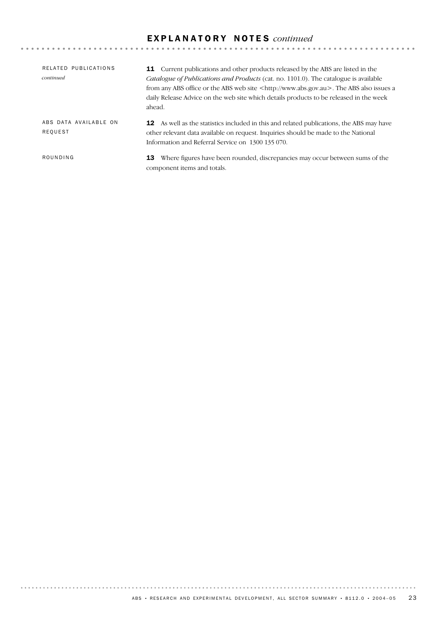## E X P L A N A T O R Y N O T E S *continued*

| RELATED PUBLICATIONS<br>continued | <b>11</b> Current publications and other products released by the ABS are listed in the<br><i>Catalogue of Publications and Products</i> (cat. no. 1101.0). The catalogue is available<br>from any ABS office or the ABS web site <http: www.abs.gov.au="">. The ABS also issues a<br/>daily Release Advice on the web site which details products to be released in the week<br/>ahead.</http:> |
|-----------------------------------|--------------------------------------------------------------------------------------------------------------------------------------------------------------------------------------------------------------------------------------------------------------------------------------------------------------------------------------------------------------------------------------------------|
| ABS DATA AVAILABLE ON<br>REQUEST  | <b>12</b> As well as the statistics included in this and related publications, the ABS may have<br>other relevant data available on request. Inquiries should be made to the National<br>Information and Referral Service on 1300 135 070.                                                                                                                                                       |
| ROUNDING                          | Where figures have been rounded, discrepancies may occur between sums of the<br>13<br>component items and totals.                                                                                                                                                                                                                                                                                |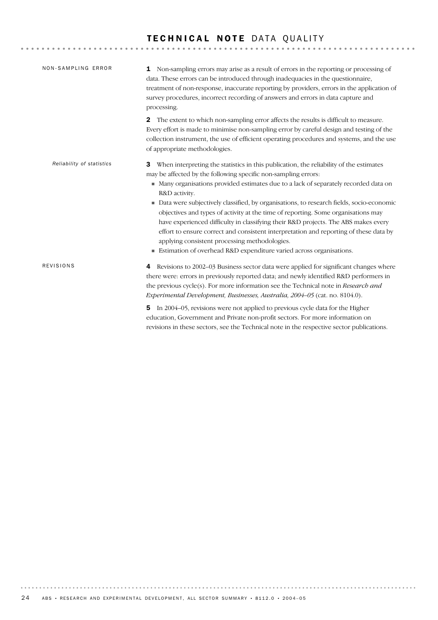## TECHNICAL NOTE DATA QUALITY

| NON-SAMPLING ERROR        | Non-sampling errors may arise as a result of errors in the reporting or processing of<br>1<br>data. These errors can be introduced through inadequacies in the questionnaire,<br>treatment of non-response, inaccurate reporting by providers, errors in the application of<br>survey procedures, incorrect recording of answers and errors in data capture and<br>processing.                                                                                                                                                                                                                                                                                                                                                                                    |
|---------------------------|-------------------------------------------------------------------------------------------------------------------------------------------------------------------------------------------------------------------------------------------------------------------------------------------------------------------------------------------------------------------------------------------------------------------------------------------------------------------------------------------------------------------------------------------------------------------------------------------------------------------------------------------------------------------------------------------------------------------------------------------------------------------|
|                           | The extent to which non-sampling error affects the results is difficult to measure.<br>$\mathbf{2}$<br>Every effort is made to minimise non-sampling error by careful design and testing of the<br>collection instrument, the use of efficient operating procedures and systems, and the use<br>of appropriate methodologies.                                                                                                                                                                                                                                                                                                                                                                                                                                     |
| Reliability of statistics | When interpreting the statistics in this publication, the reliability of the estimates<br>3<br>may be affected by the following specific non-sampling errors:<br>Many organisations provided estimates due to a lack of separately recorded data on<br>R&D activity.<br>Data were subjectively classified, by organisations, to research fields, socio-economic<br>I.<br>objectives and types of activity at the time of reporting. Some organisations may<br>have experienced difficulty in classifying their R&D projects. The ABS makes every<br>effort to ensure correct and consistent interpretation and reporting of these data by<br>applying consistent processing methodologies.<br>Estimation of overhead R&D expenditure varied across organisations. |
| REVISIONS                 | Revisions to 2002-03 Business sector data were applied for significant changes where<br>4<br>there were: errors in previously reported data; and newly identified R&D performers in<br>the previous cycle(s). For more information see the Technical note in Research and<br>Experimental Development, Businesses, Australia, 2004-05 (cat. no. 8104.0).<br>In 2004–05, revisions were not applied to previous cycle data for the Higher<br>5<br>education, Government and Private non-profit sectors. For more information on                                                                                                                                                                                                                                    |

revisions in these sectors, see the Technical note in the respective sector publications.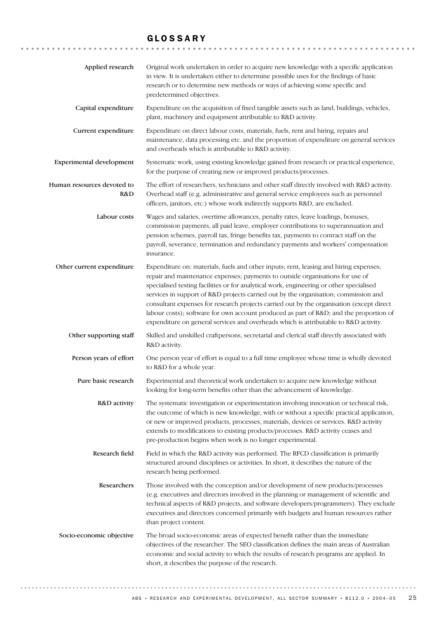## GLOSSARY

| Applied research                  | Original work undertaken in order to acquire new knowledge with a specific application<br>in view. It is undertaken either to determine possible uses for the findings of basic<br>research or to determine new methods or ways of achieving some specific and<br>predetermined objectives.                                                                                                                                                                                                                                                                                                                                           |
|-----------------------------------|---------------------------------------------------------------------------------------------------------------------------------------------------------------------------------------------------------------------------------------------------------------------------------------------------------------------------------------------------------------------------------------------------------------------------------------------------------------------------------------------------------------------------------------------------------------------------------------------------------------------------------------|
| Capital expenditure               | Expenditure on the acquisition of fixed tangible assets such as land, buildings, vehicles,<br>plant, machinery and equipment attributable to R&D activity.                                                                                                                                                                                                                                                                                                                                                                                                                                                                            |
| Current expenditure               | Expenditure on direct labour costs, materials, fuels, rent and hiring, repairs and<br>maintenance, data processing etc. and the proportion of expenditure on general services<br>and overheads which is attributable to R&D activity.                                                                                                                                                                                                                                                                                                                                                                                                 |
| Experimental development          | Systematic work, using existing knowledge gained from research or practical experience,<br>for the purpose of creating new or improved products/processes.                                                                                                                                                                                                                                                                                                                                                                                                                                                                            |
| Human resources devoted to<br>R&D | The effort of researchers, technicians and other staff directly involved with R&D activity.<br>Overhead staff (e.g. administrative and general service employees such as personnel<br>officers, janitors, etc.) whose work indirectly supports R&D, are excluded.                                                                                                                                                                                                                                                                                                                                                                     |
| Labour costs                      | Wages and salaries, overtime allowances, penalty rates, leave loadings, bonuses,<br>commission payments, all paid leave, employer contributions to superannuation and<br>pension schemes, payroll tax, fringe benefits tax, payments to contract staff on the<br>payroll, severance, termination and redundancy payments and workers' compensation<br>insurance.                                                                                                                                                                                                                                                                      |
| Other current expenditure         | Expenditure on: materials, fuels and other inputs; rent, leasing and hiring expenses;<br>repair and maintenance expenses; payments to outside organisations for use of<br>specialised testing facilities or for analytical work, engineering or other specialised<br>services in support of R&D projects carried out by the organisation; commission and<br>consultant expenses for research projects carried out by the organisation (except direct<br>labour costs); software for own account produced as part of R&D and the proportion of<br>expenditure on general services and overheads which is attributable to R&D activity. |
| Other supporting staff            | Skilled and unskilled craftpersons, secretarial and clerical staff directly associated with<br>R&D activity.                                                                                                                                                                                                                                                                                                                                                                                                                                                                                                                          |
| Person years of effort            | One person year of effort is equal to a full time employee whose time is wholly devoted<br>to R&D for a whole year.                                                                                                                                                                                                                                                                                                                                                                                                                                                                                                                   |
| Pure basic research               | Experimental and theoretical work undertaken to acquire new knowledge without<br>looking for long-term benefits other than the advancement of knowledge.                                                                                                                                                                                                                                                                                                                                                                                                                                                                              |
| R&D activity                      | The systematic investigation or experimentation involving innovation or technical risk,<br>the outcome of which is new knowledge, with or without a specific practical application,<br>or new or improved products, processes, materials, devices or services. R&D activity<br>extends to modifications to existing products/processes. R&D activity ceases and<br>pre-production begins when work is no longer experimental.                                                                                                                                                                                                         |
| Research field                    | Field in which the R&D activity was performed. The RFCD classification is primarily<br>structured around disciplines or activities. In short, it describes the nature of the<br>research being performed.                                                                                                                                                                                                                                                                                                                                                                                                                             |
| Researchers                       | Those involved with the conception and/or development of new products/processes<br>(e.g. executives and directors involved in the planning or management of scientific and<br>technical aspects of R&D projects, and software developers/programmers). They exclude<br>executives and directors concerned primarily with budgets and human resources rather<br>than project content.                                                                                                                                                                                                                                                  |
| Socio-economic objective          | The broad socio-economic areas of expected benefit rather than the immediate<br>objectives of the researcher. The SEO classification defines the main areas of Australian<br>economic and social activity to which the results of research programs are applied. In<br>short, it describes the purpose of the research.                                                                                                                                                                                                                                                                                                               |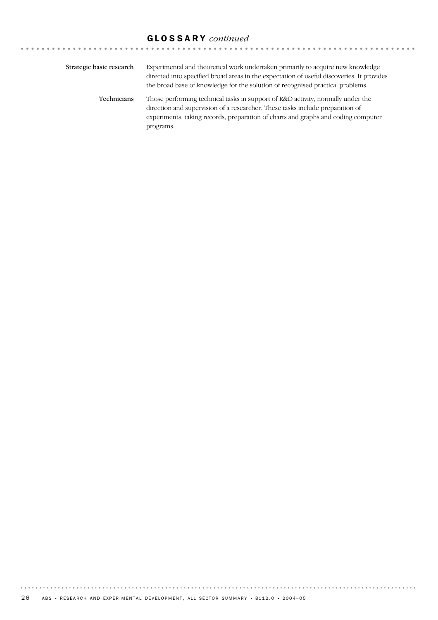# GLOSSARY *continued*

| Strategic basic research | Experimental and theoretical work undertaken primarily to acquire new knowledge<br>directed into specified broad areas in the expectation of useful discoveries. It provides<br>the broad base of knowledge for the solution of recognised practical problems.     |
|--------------------------|--------------------------------------------------------------------------------------------------------------------------------------------------------------------------------------------------------------------------------------------------------------------|
| <b>Technicians</b>       | Those performing technical tasks in support of R&D activity, normally under the<br>direction and supervision of a researcher. These tasks include preparation of<br>experiments, taking records, preparation of charts and graphs and coding computer<br>programs. |